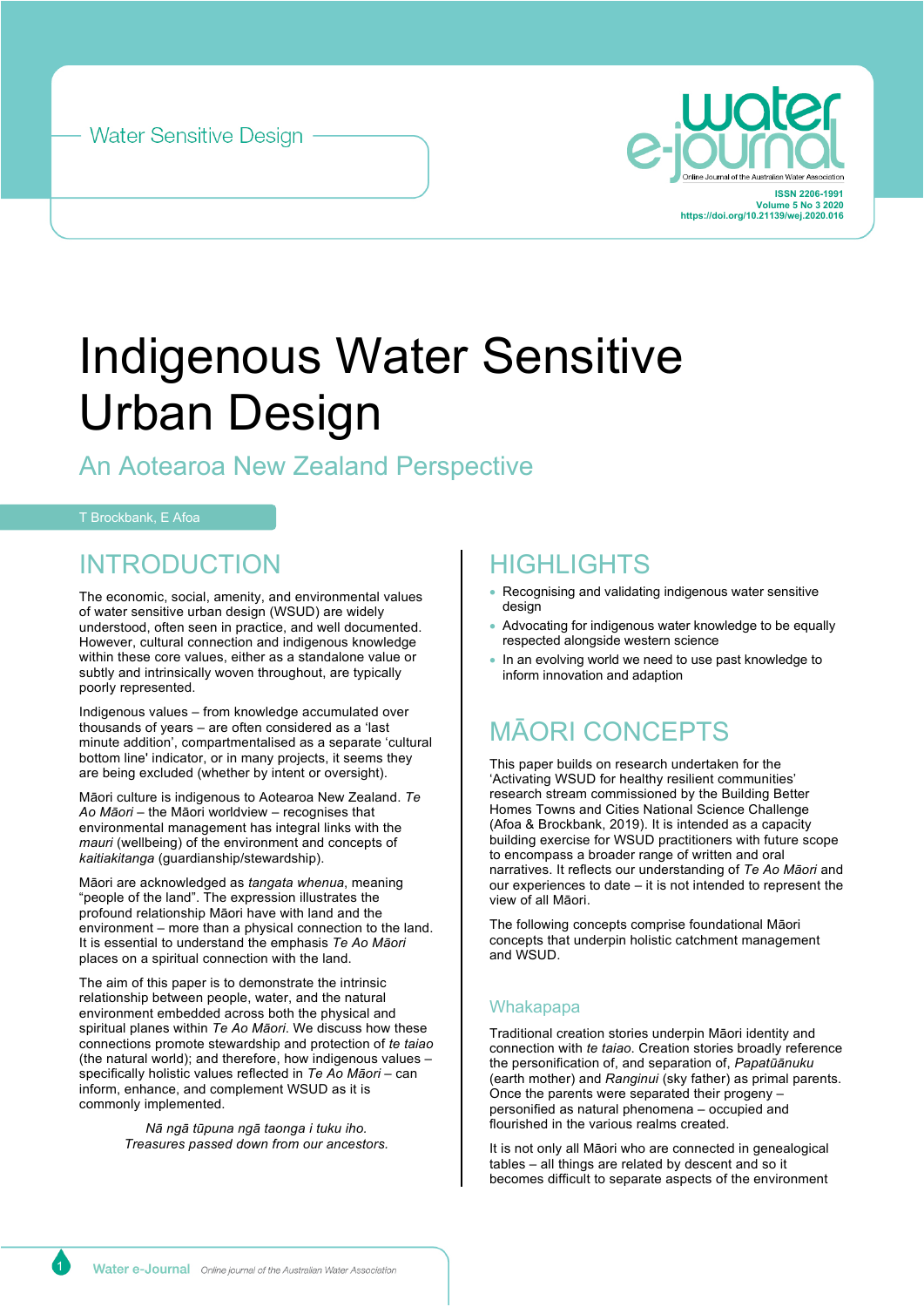



# Indigenous Water Sensitive Urban Design

# An Aotearoa New Zealand Perspective

### T Brockbank, E Afoa

# INTRODUCTION

The economic, social, amenity, and environmental values of water sensitive urban design (WSUD) are widely understood, often seen in practice, and well documented. However, cultural connection and indigenous knowledge within these core values, either as a standalone value or subtly and intrinsically woven throughout, are typically poorly represented.

Indigenous values – from knowledge accumulated over thousands of years – are often considered as a 'last minute addition', compartmentalised as a separate 'cultural bottom line' indicator, or in many projects, it seems they are being excluded (whether by intent or oversight).

Māori culture is indigenous to Aotearoa New Zealand. *Te Ao Māori* – the Māori worldview – recognises that environmental management has integral links with the *mauri* (wellbeing) of the environment and concepts of *kaitiakitanga* (guardianship/stewardship).

Māori are acknowledged as *tangata whenua*, meaning "people of the land". The expression illustrates the profound relationship Māori have with land and the environment – more than a physical connection to the land. It is essential to understand the emphasis *Te Ao Māori* places on a spiritual connection with the land.

The aim of this paper is to demonstrate the intrinsic relationship between people, water, and the natural environment embedded across both the physical and spiritual planes within *Te Ao Māori*. We discuss how these connections promote stewardship and protection of *te taiao* (the natural world); and therefore, how indigenous values – specifically holistic values reflected in *Te Ao Māori* – can inform, enhance, and complement WSUD as it is commonly implemented.

> *Nā ngā tūpuna ngā taonga i tuku iho. Treasures passed down from our ancestors.*

# **HIGHI IGHTS**

- Recognising and validating indigenous water sensitive design
- Advocating for indigenous water knowledge to be equally respected alongside western science
- In an evolving world we need to use past knowledge to inform innovation and adaption

# MĀORI CONCEPTS

This paper builds on research undertaken for the 'Activating WSUD for healthy resilient communities' research stream commissioned by the Building Better Homes Towns and Cities National Science Challenge (Afoa & Brockbank, 2019). It is intended as a capacity building exercise for WSUD practitioners with future scope to encompass a broader range of written and oral narratives. It reflects our understanding of *Te Ao Māori* and our experiences to date – it is not intended to represent the view of all Māori.

The following concepts comprise foundational Māori concepts that underpin holistic catchment management and WSUD.

### **Whakapapa**

Traditional creation stories underpin Māori identity and connection with *te taiao*. Creation stories broadly reference the personification of, and separation of, *Papatūānuku* (earth mother) and *Ranginui* (sky father) as primal parents. Once the parents were separated their progeny – personified as natural phenomena – occupied and flourished in the various realms created.

It is not only all Māori who are connected in genealogical tables – all things are related by descent and so it becomes difficult to separate aspects of the environment

1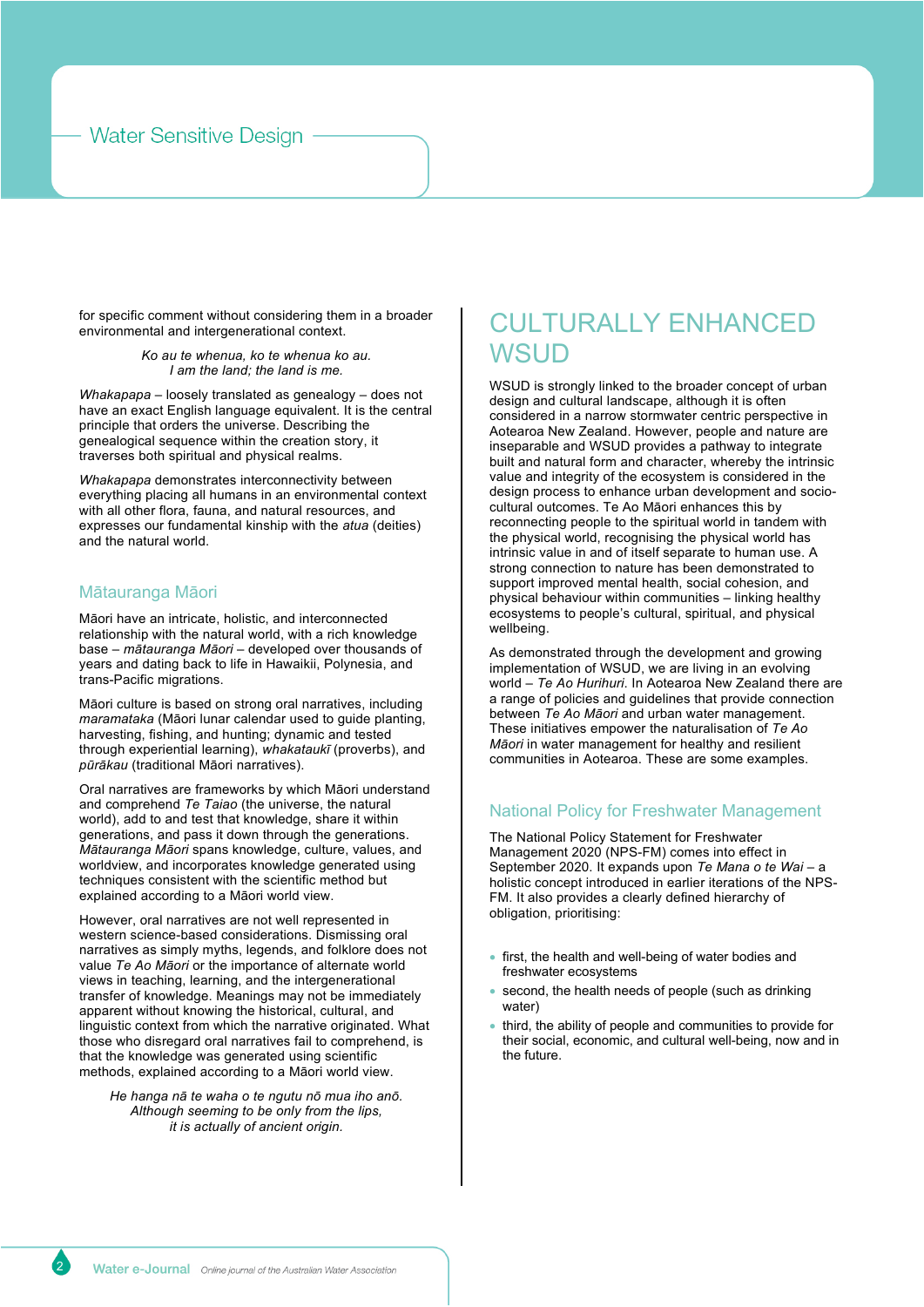### **Water Sensitive Design**

for specific comment without considering them in a broader environmental and intergenerational context.

> *Ko au te whenua, ko te whenua ko au. I am the land; the land is me.*

*Whakapapa* – loosely translated as genealogy – does not have an exact English language equivalent. It is the central principle that orders the universe. Describing the genealogical sequence within the creation story, it traverses both spiritual and physical realms.

*Whakapapa* demonstrates interconnectivity between everything placing all humans in an environmental context with all other flora, fauna, and natural resources, and expresses our fundamental kinship with the *atua* (deities) and the natural world.

### Mātauranga Māori

Māori have an intricate, holistic, and interconnected relationship with the natural world, with a rich knowledge base – *mātauranga Māori* – developed over thousands of years and dating back to life in Hawaikii, Polynesia, and trans-Pacific migrations.

Māori culture is based on strong oral narratives, including *maramataka* (Māori lunar calendar used to guide planting, harvesting, fishing, and hunting; dynamic and tested through experiential learning), *whakataukī* (proverbs), and *pūrākau* (traditional Māori narratives).

Oral narratives are frameworks by which Māori understand and comprehend *Te Taiao* (the universe, the natural world), add to and test that knowledge, share it within generations, and pass it down through the generations. *Mātauranga Māori* spans knowledge, culture, values, and worldview, and incorporates knowledge generated using techniques consistent with the scientific method but explained according to a Māori world view.

However, oral narratives are not well represented in western science-based considerations. Dismissing oral narratives as simply myths, legends, and folklore does not value *Te Ao Māori* or the importance of alternate world views in teaching, learning, and the intergenerational transfer of knowledge. Meanings may not be immediately apparent without knowing the historical, cultural, and linguistic context from which the narrative originated. What those who disregard oral narratives fail to comprehend, is that the knowledge was generated using scientific methods, explained according to a Māori world view.

*He hanga nā te waha o te ngutu nō mua iho anō. Although seeming to be only from the lips, it is actually of ancient origin.*

# CULTURALLY ENHANCED **WSUD**

WSUD is strongly linked to the broader concept of urban design and cultural landscape, although it is often considered in a narrow stormwater centric perspective in Aotearoa New Zealand. However, people and nature are inseparable and WSUD provides a pathway to integrate built and natural form and character, whereby the intrinsic value and integrity of the ecosystem is considered in the design process to enhance urban development and sociocultural outcomes. Te Ao Māori enhances this by reconnecting people to the spiritual world in tandem with the physical world, recognising the physical world has intrinsic value in and of itself separate to human use. A strong connection to nature has been demonstrated to support improved mental health, social cohesion, and physical behaviour within communities – linking healthy ecosystems to people's cultural, spiritual, and physical wellbeing.

As demonstrated through the development and growing implementation of WSUD, we are living in an evolving world – *Te Ao Hurihuri*. In Aotearoa New Zealand there are a range of policies and guidelines that provide connection between *Te Ao Māori* and urban water management. These initiatives empower the naturalisation of *Te Ao Māori* in water management for healthy and resilient communities in Aotearoa. These are some examples.

### National Policy for Freshwater Management

The National Policy Statement for Freshwater Management 2020 (NPS-FM) comes into effect in September 2020. It expands upon *Te Mana o te Wai* – a holistic concept introduced in earlier iterations of the NPS-FM. It also provides a clearly defined hierarchy of obligation, prioritising:

- first, the health and well-being of water bodies and freshwater ecosystems
- second, the health needs of people (such as drinking water)
- third, the ability of people and communities to provide for their social, economic, and cultural well-being, now and in the future.

2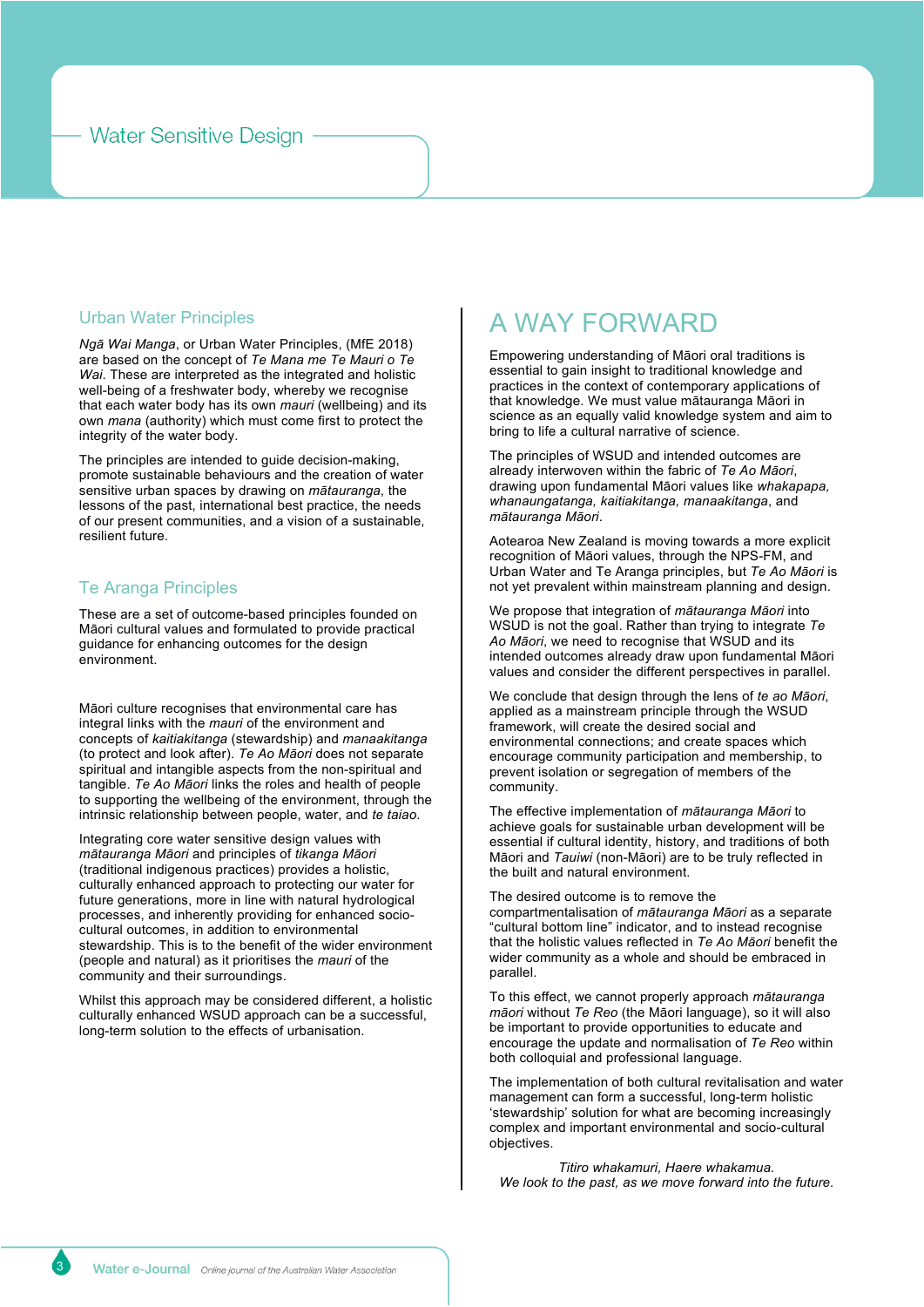### **Water Sensitive Design**

### Urban Water Principles

*Ngā Wai Manga*, or Urban Water Principles, (MfE 2018) are based on the concept of *Te Mana me Te Mauri o Te Wai*. These are interpreted as the integrated and holistic well-being of a freshwater body, whereby we recognise that each water body has its own *mauri* (wellbeing) and its own *mana* (authority) which must come first to protect the integrity of the water body.

The principles are intended to guide decision-making, promote sustainable behaviours and the creation of water sensitive urban spaces by drawing on *mātauranga*, the lessons of the past, international best practice, the needs of our present communities, and a vision of a sustainable, resilient future.

### Te Aranga Principles

These are a set of outcome-based principles founded on Māori cultural values and formulated to provide practical guidance for enhancing outcomes for the design environment.

Māori culture recognises that environmental care has integral links with the *mauri* of the environment and concepts of *kaitiakitanga* (stewardship) and *manaakitanga*  (to protect and look after). *Te Ao Māori* does not separate spiritual and intangible aspects from the non-spiritual and tangible. *Te Ao Māori* links the roles and health of people to supporting the wellbeing of the environment, through the intrinsic relationship between people, water, and *te taiao*.

Integrating core water sensitive design values with *mātauranga Māori* and principles of *tikanga Māori* (traditional indigenous practices) provides a holistic, culturally enhanced approach to protecting our water for future generations, more in line with natural hydrological processes, and inherently providing for enhanced sociocultural outcomes, in addition to environmental stewardship. This is to the benefit of the wider environment (people and natural) as it prioritises the *mauri* of the community and their surroundings.

Whilst this approach may be considered different, a holistic culturally enhanced WSUD approach can be a successful, long-term solution to the effects of urbanisation.

# A WAY FORWARD

Empowering understanding of Māori oral traditions is essential to gain insight to traditional knowledge and practices in the context of contemporary applications of that knowledge. We must value mātauranga Māori in science as an equally valid knowledge system and aim to bring to life a cultural narrative of science.

The principles of WSUD and intended outcomes are already interwoven within the fabric of *Te Ao Māori*, drawing upon fundamental Māori values like *whakapapa, whanaungatanga, kaitiakitanga, manaakitanga*, and *mātauranga Māori*.

Aotearoa New Zealand is moving towards a more explicit recognition of Māori values, through the NPS-FM, and Urban Water and Te Aranga principles, but *Te Ao Māori* is not yet prevalent within mainstream planning and design.

We propose that integration of *mātauranga Māori* into WSUD is not the goal. Rather than trying to integrate *Te Ao Māori*, we need to recognise that WSUD and its intended outcomes already draw upon fundamental Māori values and consider the different perspectives in parallel.

We conclude that design through the lens of *te ao Māori*, applied as a mainstream principle through the WSUD framework, will create the desired social and environmental connections; and create spaces which encourage community participation and membership, to prevent isolation or segregation of members of the community.

The effective implementation of *mātauranga Māori* to achieve goals for sustainable urban development will be essential if cultural identity, history, and traditions of both Māori and *Tauiwi* (non-Māori) are to be truly reflected in the built and natural environment.

The desired outcome is to remove the

compartmentalisation of *mātauranga Māori* as a separate "cultural bottom line" indicator, and to instead recognise that the holistic values reflected in *Te Ao Māori* benefit the wider community as a whole and should be embraced in parallel.

To this effect, we cannot properly approach *mātauranga māori* without *Te Reo* (the Māori language), so it will also be important to provide opportunities to educate and encourage the update and normalisation of *Te Reo* within both colloquial and professional language.

The implementation of both cultural revitalisation and water management can form a successful, long-term holistic 'stewardship' solution for what are becoming increasingly complex and important environmental and socio-cultural objectives.

*Titiro whakamuri, Haere whakamua. We look to the past, as we move forward into the future.*

3